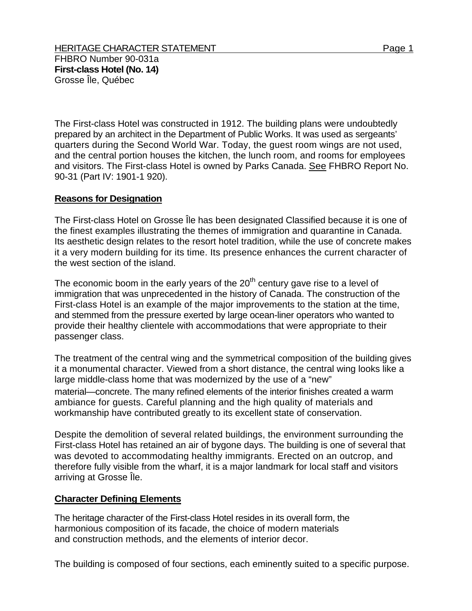The First-class Hotel was constructed in 1912. The building plans were undoubtedly prepared by an architect in the Department of Public Works. It was used as sergeants' quarters during the Second World War. Today, the guest room wings are not used, and the central portion houses the kitchen, the lunch room, and rooms for employees and visitors. The First-class Hotel is owned by Parks Canada. See FHBRO Report No. 90-31 (Part IV: 1901-1 920).

## **Reasons for Designation**

The First-class Hotel on Grosse Île has been designated Classified because it is one of the finest examples illustrating the themes of immigration and quarantine in Canada. Its aesthetic design relates to the resort hotel tradition, while the use of concrete makes it a very modern building for its time. Its presence enhances the current character of the west section of the island.

The economic boom in the early years of the  $20<sup>th</sup>$  century gave rise to a level of immigration that was unprecedented in the history of Canada. The construction of the First-class Hotel is an example of the major improvements to the station at the time, and stemmed from the pressure exerted by large ocean-liner operators who wanted to provide their healthy clientele with accommodations that were appropriate to their passenger class.

The treatment of the central wing and the symmetrical composition of the building gives it a monumental character. Viewed from a short distance, the central wing looks like a large middle-class home that was modernized by the use of a "new" material—concrete. The many refined elements of the interior finishes created a warm ambiance for guests. Careful planning and the high quality of materials and workmanship have contributed greatly to its excellent state of conservation.

Despite the demolition of several related buildings, the environment surrounding the First-class Hotel has retained an air of bygone days. The building is one of several that was devoted to accommodating healthy immigrants. Erected on an outcrop, and therefore fully visible from the wharf, it is a major landmark for local staff and visitors arriving at Grosse Île.

## **Character Defining Elements**

The heritage character of the First-class Hotel resides in its overall form, the harmonious composition of its facade, the choice of modern materials and construction methods, and the elements of interior decor.

The building is composed of four sections, each eminently suited to a specific purpose.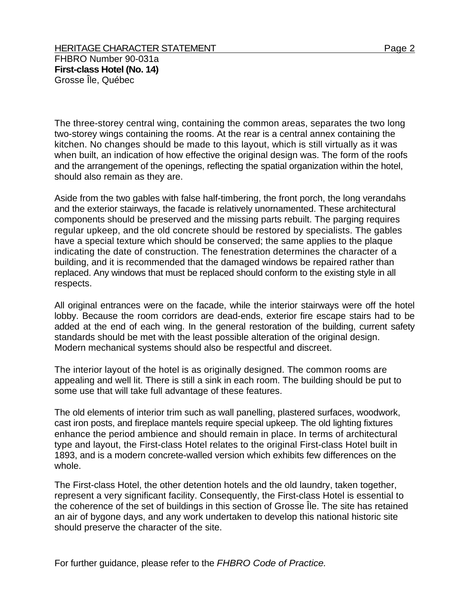The three-storey central wing, containing the common areas, separates the two long two-storey wings containing the rooms. At the rear is a central annex containing the kitchen. No changes should be made to this layout, which is still virtually as it was when built, an indication of how effective the original design was. The form of the roofs and the arrangement of the openings, reflecting the spatial organization within the hotel, should also remain as they are.

Aside from the two gables with false half-timbering, the front porch, the long verandahs and the exterior stairways, the facade is relatively unornamented. These architectural components should be preserved and the missing parts rebuilt. The parging requires regular upkeep, and the old concrete should be restored by specialists. The gables have a special texture which should be conserved; the same applies to the plaque indicating the date of construction. The fenestration determines the character of a building, and it is recommended that the damaged windows be repaired rather than replaced. Any windows that must be replaced should conform to the existing style in all respects.

All original entrances were on the facade, while the interior stairways were off the hotel lobby. Because the room corridors are dead-ends, exterior fire escape stairs had to be added at the end of each wing. In the general restoration of the building, current safety standards should be met with the least possible alteration of the original design. Modern mechanical systems should also be respectful and discreet.

The interior layout of the hotel is as originally designed. The common rooms are appealing and well lit. There is still a sink in each room. The building should be put to some use that will take full advantage of these features.

The old elements of interior trim such as wall panelling, plastered surfaces, woodwork, cast iron posts, and fireplace mantels require special upkeep. The old lighting fixtures enhance the period ambience and should remain in place. In terms of architectural type and layout, the First-class Hotel relates to the original First-class Hotel built in 1893, and is a modern concrete-walled version which exhibits few differences on the whole.

The First-class Hotel, the other detention hotels and the old laundry, taken together, represent a very significant facility. Consequently, the First-class Hotel is essential to the coherence of the set of buildings in this section of Grosse Île. The site has retained an air of bygone days, and any work undertaken to develop this national historic site should preserve the character of the site.

For further guidance, please refer to the *FHBRO Code of Practice.*